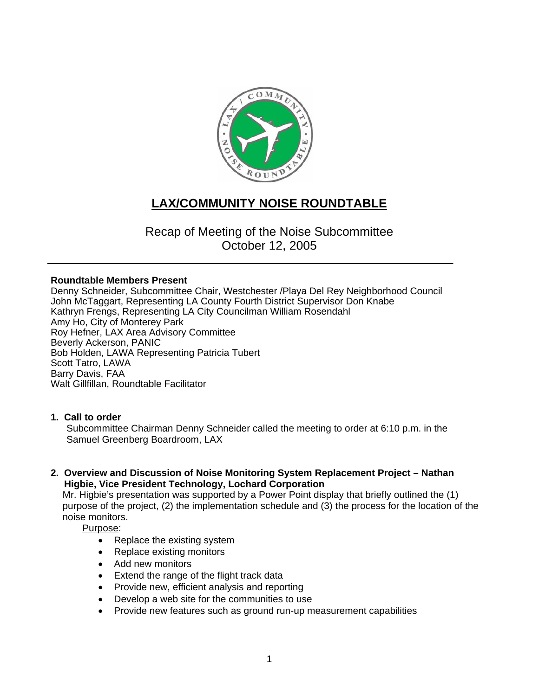

# **LAX/COMMUNITY NOISE ROUNDTABLE**

## Recap of Meeting of the Noise Subcommittee October 12, 2005

### **Roundtable Members Present**

Denny Schneider, Subcommittee Chair, Westchester /Playa Del Rey Neighborhood Council John McTaggart, Representing LA County Fourth District Supervisor Don Knabe Kathryn Frengs, Representing LA City Councilman William Rosendahl Amy Ho, City of Monterey Park Roy Hefner, LAX Area Advisory Committee Beverly Ackerson, PANIC Bob Holden, LAWA Representing Patricia Tubert Scott Tatro, LAWA Barry Davis, FAA Walt Gillfillan, Roundtable Facilitator

### **1. Call to order**

Subcommittee Chairman Denny Schneider called the meeting to order at 6:10 p.m. in the Samuel Greenberg Boardroom, LAX

### **2. Overview and Discussion of Noise Monitoring System Replacement Project – Nathan Higbie, Vice President Technology, Lochard Corporation**

Mr. Higbie's presentation was supported by a Power Point display that briefly outlined the (1) purpose of the project, (2) the implementation schedule and (3) the process for the location of the noise monitors.

Purpose:

- Replace the existing system
- Replace existing monitors
- Add new monitors
- Extend the range of the flight track data
- Provide new, efficient analysis and reporting
- Develop a web site for the communities to use
- Provide new features such as ground run-up measurement capabilities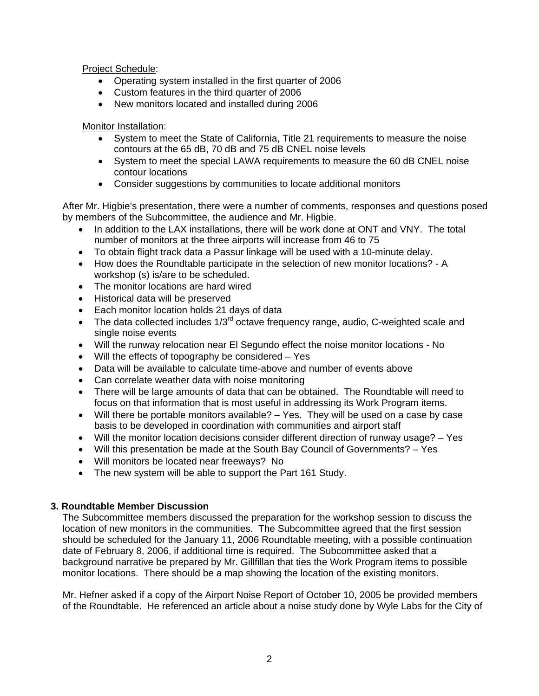Project Schedule:

- Operating system installed in the first quarter of 2006
- Custom features in the third quarter of 2006
- New monitors located and installed during 2006

Monitor Installation:

- System to meet the State of California, Title 21 requirements to measure the noise contours at the 65 dB, 70 dB and 75 dB CNEL noise levels
- System to meet the special LAWA requirements to measure the 60 dB CNEL noise contour locations
- Consider suggestions by communities to locate additional monitors

After Mr. Higbie's presentation, there were a number of comments, responses and questions posed by members of the Subcommittee, the audience and Mr. Higbie.

- In addition to the LAX installations, there will be work done at ONT and VNY. The total number of monitors at the three airports will increase from 46 to 75
- To obtain flight track data a Passur linkage will be used with a 10-minute delay.
- How does the Roundtable participate in the selection of new monitor locations? A workshop (s) is/are to be scheduled.
- The monitor locations are hard wired
- Historical data will be preserved
- Each monitor location holds 21 days of data
- The data collected includes  $1/3^{rd}$  octave frequency range, audio, C-weighted scale and single noise events
- Will the runway relocation near El Segundo effect the noise monitor locations No
- Will the effects of topography be considered Yes
- Data will be available to calculate time-above and number of events above
- Can correlate weather data with noise monitoring
- There will be large amounts of data that can be obtained. The Roundtable will need to focus on that information that is most useful in addressing its Work Program items.
- Will there be portable monitors available? Yes. They will be used on a case by case basis to be developed in coordination with communities and airport staff
- Will the monitor location decisions consider different direction of runway usage? Yes
- Will this presentation be made at the South Bay Council of Governments? Yes
- Will monitors be located near freeways? No
- The new system will be able to support the Part 161 Study.

### **3. Roundtable Member Discussion**

The Subcommittee members discussed the preparation for the workshop session to discuss the location of new monitors in the communities. The Subcommittee agreed that the first session should be scheduled for the January 11, 2006 Roundtable meeting, with a possible continuation date of February 8, 2006, if additional time is required. The Subcommittee asked that a background narrative be prepared by Mr. Gillfillan that ties the Work Program items to possible monitor locations. There should be a map showing the location of the existing monitors.

Mr. Hefner asked if a copy of the Airport Noise Report of October 10, 2005 be provided members of the Roundtable. He referenced an article about a noise study done by Wyle Labs for the City of